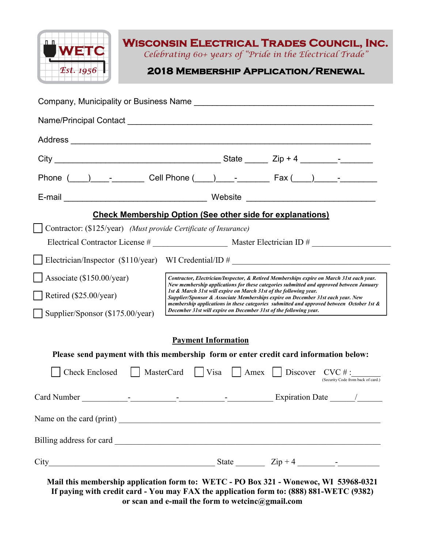

# **Wisconsin Electrical Trades Council, Inc.**

*Celebrating 60+ years of "Pride in the Electrical Trade"*

**2018 Membership Application/Renewal** 

|                                                                  |                                                                                                                                                                                                                                                                                                                                                                                                                                         |                            | <b>Check Membership Option (See other side for explanations)</b>                          |
|------------------------------------------------------------------|-----------------------------------------------------------------------------------------------------------------------------------------------------------------------------------------------------------------------------------------------------------------------------------------------------------------------------------------------------------------------------------------------------------------------------------------|----------------------------|-------------------------------------------------------------------------------------------|
| Contractor: (\$125/year) (Must provide Certificate of Insurance) |                                                                                                                                                                                                                                                                                                                                                                                                                                         |                            |                                                                                           |
|                                                                  |                                                                                                                                                                                                                                                                                                                                                                                                                                         |                            |                                                                                           |
|                                                                  |                                                                                                                                                                                                                                                                                                                                                                                                                                         |                            | Electrician/Inspector $(\$110/year)$ WI Credential/ID #                                   |
| Associate (\$150.00/year)                                        | Contractor, Electrician/Inspector, & Retired Memberships expire on March 31st each year.<br>New membership applications for these categories submitted and approved between January<br>1st & March 31st will expire on March 31st of the following year.<br>Supplier/Sponsor & Associate Memberships expire on December 31st each year. New<br>membership applications in these categories submitted and approved between October 1st & |                            |                                                                                           |
| Retired (\$25.00/year)                                           |                                                                                                                                                                                                                                                                                                                                                                                                                                         |                            |                                                                                           |
| Supplier/Sponsor (\$175.00/year)                                 |                                                                                                                                                                                                                                                                                                                                                                                                                                         |                            | December 31st will expire on December 31st of the following year.                         |
|                                                                  |                                                                                                                                                                                                                                                                                                                                                                                                                                         | <b>Payment Information</b> |                                                                                           |
|                                                                  |                                                                                                                                                                                                                                                                                                                                                                                                                                         |                            | Please send payment with this membership form or enter credit card information below:     |
|                                                                  |                                                                                                                                                                                                                                                                                                                                                                                                                                         |                            | Check Enclosed MasterCard Visa Amex Discover CVC #:<br>(Security Code from back of card.) |
|                                                                  |                                                                                                                                                                                                                                                                                                                                                                                                                                         |                            |                                                                                           |
| Name on the card (print)                                         |                                                                                                                                                                                                                                                                                                                                                                                                                                         |                            |                                                                                           |
|                                                                  |                                                                                                                                                                                                                                                                                                                                                                                                                                         |                            |                                                                                           |
|                                                                  |                                                                                                                                                                                                                                                                                                                                                                                                                                         |                            |                                                                                           |

**If paying with credit card - You may FAX the application form to: (888) 881-WETC (9382) or scan and e-mail the form to wetcinc@gmail.com**